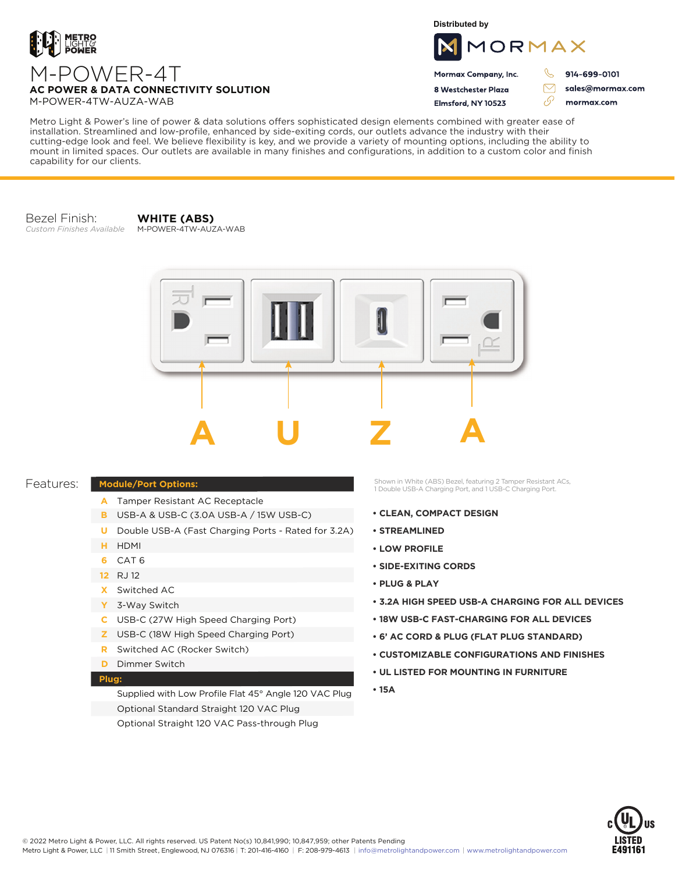

**Distributed by**



Mormax Company, Inc. 8 Westchester Plaza

Elmsford, NY 10523

914-699-0101

ת

 $\triangledown$ 

76

sales@mormax.com mormax.com

M-POWER-4T **AC POWER & DATA CONNECTIVITY SOLUTION** M-POWER-4TW-AUZA-WAB

Metro Light & Power's line of power & data solutions offers sophisticated design elements combined with greater ease of installation. Streamlined and low-profile, enhanced by side-exiting cords, our outlets advance the industry with their cutting-edge look and feel. We believe flexibility is key, and we provide a variety of mounting options, including the ability to mount in limited spaces. Our outlets are available in many finishes and configurations, in addition to a custom color and finish capability for our clients.

Bezel Finish: *Custom Finishes Available*

**WHITE (ABS)** M-POWER-4TW-AUZA-WAB



## Features:

- **Module/Port Options:**
	- A Tamper Resistant AC Receptacle
	- USB-A & USB-C (3.0A USB-A / 15W USB-C) **B**
	- U Double USB-A (Fast Charging Ports Rated for 3.2A)
	- HDMI **H**
	- CAT 6 **6**
	- 12 RJ 12
	- Switched AC **X**
	- 3-Way Switch **Y**
	- USB-C (27W High Speed Charging Port) **C**
	- USB-C (18W High Speed Charging Port) **Z**
	- Switched AC (Rocker Switch) **R**
	- **D** Dimmer Switch

## **Plug:**

Supplied with Low Profile Flat 45° Angle 120 VAC Plug Optional Standard Straight 120 VAC Plug Optional Straight 120 VAC Pass-through Plug

Shown in White (ABS) Bezel, featuring 2 Tamper Resistant ACs, 1 Double USB-A Charging Port, and 1 USB-C Charging Port.

- **CLEAN, COMPACT DESIGN**
- **STREAMLINED**
- **LOW PROFILE**
- **SIDE-EXITING CORDS**
- **PLUG & PLAY**
- **3.2A HIGH SPEED USB-A CHARGING FOR ALL DEVICES**
- **18W USB-C FAST-CHARGING FOR ALL DEVICES**
- **6' AC CORD & PLUG (FLAT PLUG STANDARD)**
- **CUSTOMIZABLE CONFIGURATIONS AND FINISHES**
- **UL LISTED FOR MOUNTING IN FURNITURE**
- **15A**